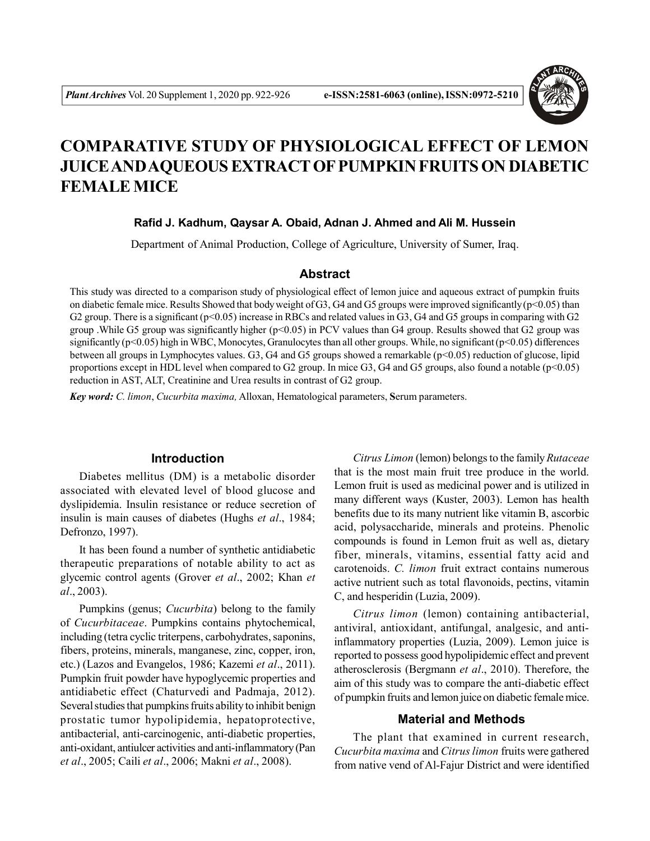

# **COMPARATIVE STUDY OF PHYSIOLOGICAL EFFECT OF LEMON JUICE AND AQUEOUS EXTRACT OF PUMPKIN FRUITS ON DIABETIC FEMALE MICE**

## **Rafid J. Kadhum, Qaysar A. Obaid, Adnan J. Ahmed and Ali M. Hussein**

Department of Animal Production, College of Agriculture, University of Sumer, Iraq.

## **Abstract**

This study was directed to a comparison study of physiological effect of lemon juice and aqueous extract of pumpkin fruits on diabetic female mice. Results Showed that body weight of G3, G4 and G5 groups were improved significantly ( $p$ <0.05) than G2 group. There is a significant  $(p<0.05)$  increase in RBCs and related values in G3, G4 and G5 groups in comparing with G2 group .While G5 group was significantly higher (p<0.05) in PCV values than G4 group. Results showed that G2 group was significantly  $(p<0.05)$  high in WBC, Monocytes, Granulocytes than all other groups. While, no significant  $(p<0.05)$  differences between all groups in Lymphocytes values. G3, G4 and G5 groups showed a remarkable (p<0.05) reduction of glucose, lipid proportions except in HDL level when compared to G2 group. In mice G3, G4 and G5 groups, also found a notable  $(p<0.05)$ reduction in AST, ALT, Creatinine and Urea results in contrast of G2 group.

*Key word: C. limon*, *Cucurbita maxima,* Alloxan, Hematological parameters, **S**erum parameters.

## **Introduction**

Diabetes mellitus (DM) is a metabolic disorder associated with elevated level of blood glucose and dyslipidemia. Insulin resistance or reduce secretion of insulin is main causes of diabetes (Hughs *et al*., 1984; Defronzo, 1997).

It has been found a number of synthetic antidiabetic therapeutic preparations of notable ability to act as glycemic control agents (Grover *et al*., 2002; Khan *et al*., 2003).

Pumpkins (genus; *Cucurbita*) belong to the family of *Cucurbitaceae*. Pumpkins contains phytochemical, including (tetra cyclic triterpens, carbohydrates, saponins, fibers, proteins, minerals, manganese, zinc, copper, iron, etc.) (Lazos and Evangelos, 1986; Kazemi *et al*., 2011). Pumpkin fruit powder have hypoglycemic properties and antidiabetic effect (Chaturvedi and Padmaja, 2012). Several studies that pumpkins fruits ability to inhibit benign prostatic tumor hypolipidemia, hepatoprotective, antibacterial, anti-carcinogenic, anti-diabetic properties, anti-oxidant, antiulcer activities and anti-inflammatory (Pan *et al*., 2005; Caili *et al*., 2006; Makni *et al*., 2008).

*Citrus Limon* (lemon) belongs to the family *Rutaceae* that is the most main fruit tree produce in the world. Lemon fruit is used as medicinal power and is utilized in many different ways (Kuster, 2003). Lemon has health benefits due to its many nutrient like vitamin B, ascorbic acid, polysaccharide, minerals and proteins. Phenolic compounds is found in Lemon fruit as well as, dietary fiber, minerals, vitamins, essential fatty acid and carotenoids. *C. limon* fruit extract contains numerous active nutrient such as total flavonoids, pectins, vitamin C, and hesperidin (Luzia, 2009).

*Citrus limon* (lemon) containing antibacterial, antiviral, antioxidant, antifungal, analgesic, and antiinflammatory properties (Luzia, 2009). Lemon juice is reported to possess good hypolipidemic effect and prevent atherosclerosis (Bergmann *et al*., 2010). Therefore, the aim of this study was to compare the anti-diabetic effect of pumpkin fruits and lemon juice on diabetic female mice.

#### **Material and Methods**

The plant that examined in current research, *Cucurbita maxima* and *Citrus limon* fruits were gathered from native vend of Al-Fajur District and were identified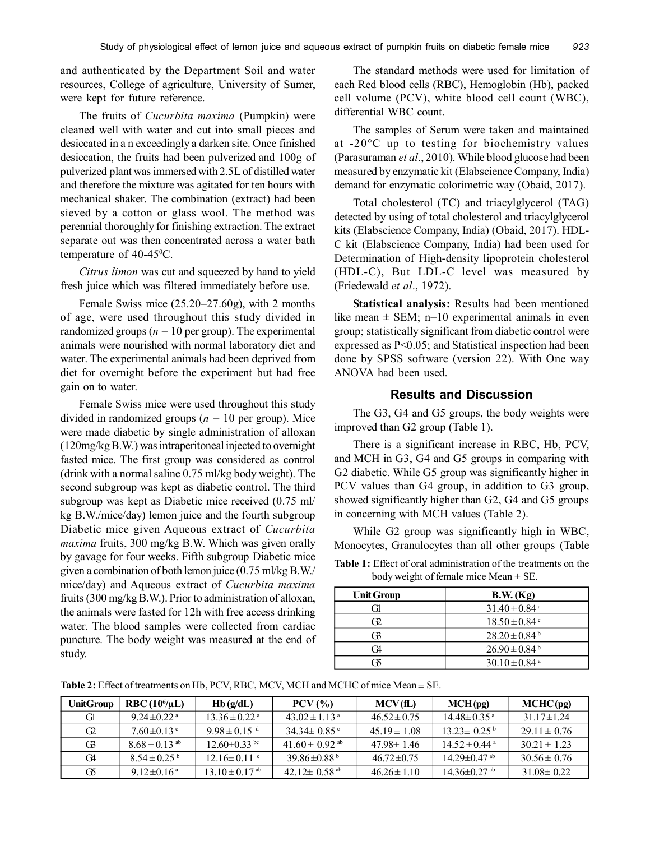and authenticated by the Department Soil and water resources, College of agriculture, University of Sumer, were kept for future reference.

The fruits of *Cucurbita maxima* (Pumpkin) were cleaned well with water and cut into small pieces and desiccated in a n exceedingly a darken site. Once finished desiccation, the fruits had been pulverized and 100g of pulverized plant was immersed with 2.5L of distilled water and therefore the mixture was agitated for ten hours with mechanical shaker. The combination (extract) had been sieved by a cotton or glass wool. The method was perennial thoroughly for finishing extraction. The extract separate out was then concentrated across a water bath temperature of  $40-45\degree$ C.

*Citrus limon* was cut and squeezed by hand to yield fresh juice which was filtered immediately before use.

Female Swiss mice (25.20–27.60g), with 2 months of age, were used throughout this study divided in randomized groups ( $n = 10$  per group). The experimental animals were nourished with normal laboratory diet and water. The experimental animals had been deprived from diet for overnight before the experiment but had free gain on to water.

Female Swiss mice were used throughout this study divided in randomized groups (*n =* 10 per group). Mice were made diabetic by single administration of alloxan (120mg/kg B.W.) was intraperitoneal injected to overnight fasted mice. The first group was considered as control (drink with a normal saline 0.75 ml/kg body weight). The second subgroup was kept as diabetic control. The third subgroup was kept as Diabetic mice received (0.75 ml/ kg B.W./mice/day) lemon juice and the fourth subgroup Diabetic mice given Aqueous extract of *Cucurbita maxima* fruits, 300 mg/kg B.W. Which was given orally by gavage for four weeks. Fifth subgroup Diabetic mice given a combination of both lemon juice (0.75 ml/kg B.W./ mice/day) and Aqueous extract of *Cucurbita maxima* fruits (300 mg/kg B.W.). Prior to administration of alloxan, the animals were fasted for 12h with free access drinking water. The blood samples were collected from cardiac puncture. The body weight was measured at the end of study.

The standard methods were used for limitation of each Red blood cells (RBC), Hemoglobin (Hb), packed cell volume (PCV), white blood cell count (WBC), differential WBC count.

The samples of Serum were taken and maintained at -20°C up to testing for biochemistry values (Parasuraman *et al*., 2010). While blood glucose had been measured by enzymatic kit (Elabscience Company, India) demand for enzymatic colorimetric way (Obaid, 2017).

Total cholesterol (TC) and triacylglycerol (TAG) detected by using of total cholesterol and triacylglycerol kits (Elabscience Company, India) (Obaid, 2017). HDL-C kit (Elabscience Company, India) had been used for Determination of High-density lipoprotein cholesterol (HDL-C), But LDL-C level was measured by (Friedewald *et al*., 1972).

**Statistical analysis:** Results had been mentioned like mean  $\pm$  SEM; n=10 experimental animals in even group; statistically significant from diabetic control were expressed as P<0.05; and Statistical inspection had been done by SPSS software (version 22). With One way ANOVA had been used.

### **Results and Discussion**

The G3, G4 and G5 groups, the body weights were improved than G2 group (Table 1).

There is a significant increase in RBC, Hb, PCV, and MCH in G3, G4 and G5 groups in comparing with G2 diabetic. While G5 group was significantly higher in PCV values than G4 group, in addition to G3 group, showed significantly higher than G2, G4 and G5 groups in concerning with MCH values (Table 2).

While G2 group was significantly high in WBC, Monocytes, Granulocytes than all other groups (Table

**Table 1:** Effect of oral administration of the treatments on the body weight of female mice Mean  $\pm$  SE.

| <b>Unit Group</b> | B.W. (Kg)                     |
|-------------------|-------------------------------|
| Gì                | $31.40 \pm 0.84$ <sup>a</sup> |
| Œ                 | $18.50 \pm 0.84$ c            |
| 63                | $28.20 \pm 0.84^{\mathrm{b}}$ |
| G4                | $26.90 \pm 0.84^{\mathrm{b}}$ |
| ïК                | $30.10 \pm 0.84$ <sup>a</sup> |

**Table 2:** Effect of treatments on Hb, PCV, RBC, MCV, MCH and MCHC of mice Mean ± SE.

| <b>UnitGroup</b> | $RBC(106/\mu L)$             | Hb(g/dL)                       | $PCV$ (%)                      | MCV(fL)          | MCH(pg)                       | MCHC(pg)         |
|------------------|------------------------------|--------------------------------|--------------------------------|------------------|-------------------------------|------------------|
| GH.              | 9 24 $\pm$ 0 22 <sup>a</sup> | $13.36 \pm 0.22$ <sup>a</sup>  | 43.02 $\pm$ 1.13 <sup>a</sup>  | $46.52 \pm 0.75$ | $14.48 \pm 0.35$ <sup>a</sup> | 31 17 $\pm$ 1 24 |
| G <sub>2</sub>   | $760 \pm 0.13$ c             | 9 9 8 ± 0 1 5 $^{\rm d}$       | 34 34 ± 0.85 °                 | $4519 \pm 108$   | $13.23 \pm 0.25^{\mathrm{b}}$ | $29.11 \pm 0.76$ |
| GB.              | $8.68 \pm 0.13$ ab           | $12.60 \pm 0.33$ bc            | 41.60 $\pm$ 0.92 <sup>ab</sup> | $47.98 \pm 1.46$ | $14.52 \pm 0.44$ <sup>a</sup> | $30.21 \pm 1.23$ |
| CA.              | $8.54 \pm 0.25^{\mathrm{b}}$ | $12.16 \pm 0.11$ c             | 39 86 $\pm$ 0 88 <sup>b</sup>  | $46.72 \pm 0.75$ | $1429 \pm 0.47$ <sup>ab</sup> | $30.56 \pm 0.76$ |
| 65               | 9.12 $\pm$ 0.16 <sup>a</sup> | $13.10 \pm 0.17$ <sup>ab</sup> | 42.12 $\pm$ 0.58 <sup>ab</sup> | $46.26 \pm 1.10$ | 14 36 $\pm$ 0 27 ab           | $31.08 \pm 0.22$ |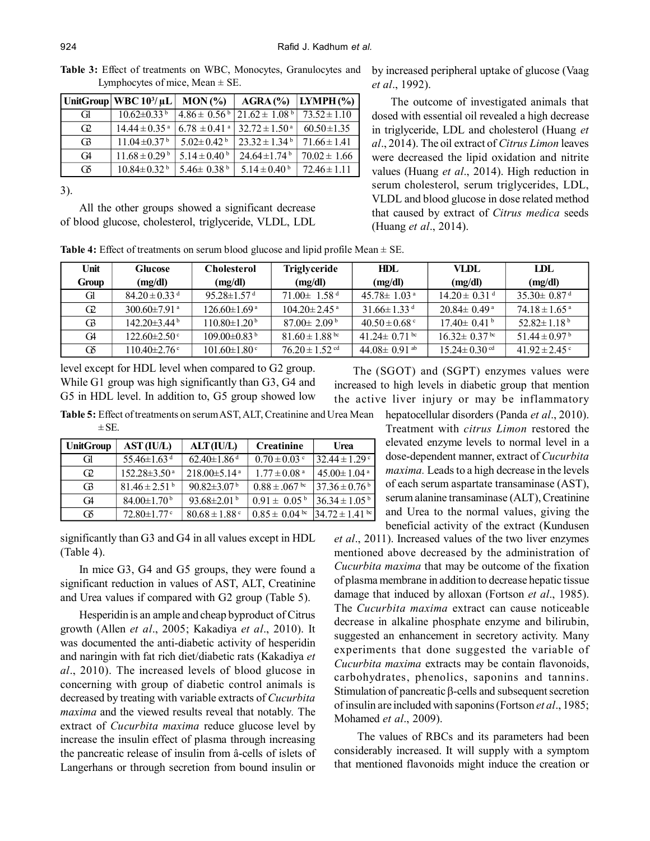|  |                                     |  |  | <b>Table 3:</b> Effect of treatments on WBC, Monocytes, Granulocytes and |  |
|--|-------------------------------------|--|--|--------------------------------------------------------------------------|--|
|  | Lymphocytes of mice, Mean $\pm$ SE. |  |  |                                                                          |  |

|                | UnitGroup   WBC $10^{3}/\mu L$ | MON(%)                       | $AGRA$ (%)                     | $ LYMPH(\%) $    |
|----------------|--------------------------------|------------------------------|--------------------------------|------------------|
| G              | $10.62 \pm 0.33^{\mathrm{b}}$  | $4.86 \pm 0.56^{\mathrm{b}}$ | $121.62 \pm 1.08^{\mathrm{b}}$ | $73.52 \pm 1.10$ |
| G <sub>2</sub> | $14.44 \pm 0.35$ <sup>a</sup>  | $6.78 \pm 0.41$ <sup>a</sup> | $32.72 \pm 1.50^{\text{ a}}$   | $60.50 \pm 1.35$ |
| G <sub>3</sub> | $11.04 \pm 0.37^{\mathrm{b}}$  | $5.02 \pm 0.42$ <sup>b</sup> | $23.32 \pm 1.34^{\mathrm{b}}$  | $71.66 \pm 1.41$ |
| C <sub>4</sub> | $11.68 \pm 0.29^{\mathrm{b}}$  | $5.14 \pm 0.40^{\mathrm{b}}$ | $24.64 \pm 1.74$ <sup>b</sup>  | $70.02 \pm 1.66$ |
| Œб             | $10.84 \pm 0.32^{\mathrm{b}}$  | 5.46 $\pm$ 0.38 <sup>b</sup> | $5.14 \pm 0.40^{\mathrm{b}}$   | $72.46 \pm 1.11$ |

3).

All the other groups showed a significant decrease of blood glucose, cholesterol, triglyceride, VLDL, LDL

by increased peripheral uptake of glucose (Vaag *et al*., 1992).

The outcome of investigated animals that dosed with essential oil revealed a high decrease in triglyceride, LDL and cholesterol (Huang *et al*., 2014). The oil extract of *Citrus Limon* leaves were decreased the lipid oxidation and nitrite values (Huang *et al*., 2014). High reduction in serum cholesterol, serum triglycerides, LDL, VLDL and blood glucose in dose related method that caused by extract of *Citrus medica* seeds (Huang *et al*., 2014).

**Table 4:** Effect of treatments on serum blood glucose and lipid profile Mean  $\pm$  SE.

| Unit  | <b>Glucose</b>                 | <b>Cholesterol</b>             | Triglyceride                   | HDL                            | VLDL                           | TDL                           |
|-------|--------------------------------|--------------------------------|--------------------------------|--------------------------------|--------------------------------|-------------------------------|
| Group | (mg/dl)                        | (mg/dl)                        | (mg/dl)                        | (mg/dl)                        | (mg/dl)                        | (mg/dl)                       |
| Gl    | $84.20 \pm 0.33$ <sup>d</sup>  | $95.28 \pm 1.57$ <sup>d</sup>  | $71.00 \pm 1.58$ <sup>d</sup>  | $45.78 \pm 1.03$ <sup>a</sup>  | $14.20 \pm 0.31$ <sup>d</sup>  | $35.30 \pm 0.87$ <sup>d</sup> |
| Œ     | 300.60 $\pm$ 7.91 <sup>a</sup> | $126.60 \pm 1.69^{\text{ a}}$  | $104.20 \pm 2.45$ <sup>a</sup> | $31.66 \pm 1.33$ <sup>d</sup>  | $20.84 \pm 0.49^{\text{a}}$    | $74.18 \pm 1.65$ <sup>a</sup> |
| G3    | $142.20\pm3.44^{\mathrm{b}}$   | $110.80 \pm 1.20^{\mathrm{b}}$ | $87.00 \pm 2.09^{\mathrm{b}}$  | $40.50 \pm 0.68$ c             | $17.40 \pm 0.41^{\mathrm{b}}$  | 52.82 $\pm$ 1.18 <sup>b</sup> |
| G4    | $122.60 \pm 2.50$ c            | $109.00\pm0.83^{\mathrm{b}}$   | $81.60 \pm 1.88$ bc            | 41.24 $\pm$ 0.71 <sup>bc</sup> | $16.32 \pm 0.37$ <sup>bc</sup> | 51.44 ± 0.97 b                |
| Œб    | $110.40 \pm 2.76$ c            | $101.60 \pm 1.80$ c            | $76.20 \pm 1.52$ <sup>cd</sup> | 44.08 $\pm$ 0.91 ab            | $15.24 \pm 0.30$ cd            | 41.92 ± 2.45 °                |

level except for HDL level when compared to G2 group. While G1 group was high significantly than G3, G4 and G5 in HDL level. In addition to, G5 group showed low

The (SGOT) and (SGPT) enzymes values were increased to high levels in diabetic group that mention the active liver injury or may be inflammatory

**Table 5:** Effect of treatments on serum AST, ALT, Creatinine and Urea Mean hepatocellular disorders (Panda *et al*., 2010).  $\pm$  SE.

| <b>UnitGroup</b> | AST (IU/L)                    | ALT(IU/L)                     | <b>Creatinine</b>             | Urea                          |
|------------------|-------------------------------|-------------------------------|-------------------------------|-------------------------------|
| GH.              | 55.46 $\pm$ 1.63 <sup>d</sup> | $62.40 \pm 1.86$ <sup>d</sup> | $0.70 \pm 0.03$ °             | $32.44 \pm 1.29$ <sup>c</sup> |
| G <sub>2</sub>   | $152.28 \pm 3.50^{\text{a}}$  | $218.00\pm5.14$ <sup>a</sup>  | $1.77 \pm 0.08$ <sup>a</sup>  | $45.00 \pm 1.04$ <sup>a</sup> |
| G <sub>3</sub>   | $81.46 \pm 2.51^{\mathrm{b}}$ | $90.82 \pm 3.07^{\mathrm{b}}$ | $0.88 \pm .067$ <sup>bc</sup> | $37.36 \pm 0.76^{\circ}$      |
| C <sub>4</sub>   | $84.00 \pm 1.70^{\mathrm{b}}$ | 93.68 $\pm$ 2.01 <sup>b</sup> | $0.91 \pm 0.05^{\circ}$       | $36.34 \pm 1.05^{\mathrm{b}}$ |
| G5               | $72.80 \pm 1.77$              | $80.68 \pm 1.88$ c            | $0.85 \pm 0.04$ bc            | $34.72 \pm 1.41$ bc           |

significantly than G3 and G4 in all values except in HDL (Table 4).

In mice G3, G4 and G5 groups, they were found a significant reduction in values of AST, ALT, Creatinine and Urea values if compared with G2 group (Table 5).

Hesperidin is an ample and cheap byproduct of Citrus growth (Allen *et al*., 2005; Kakadiya *et al*., 2010). It was documented the anti-diabetic activity of hesperidin and naringin with fat rich diet/diabetic rats (Kakadiya *et al*., 2010). The increased levels of blood glucose in concerning with group of diabetic control animals is decreased by treating with variable extracts of *Cucurbita maxima* and the viewed results reveal that notably*.* The extract of *Cucurbita maxima* reduce glucose level by increase the insulin effect of plasma through increasing the pancreatic release of insulin from â-cells of islets of Langerhans or through secretion from bound insulin or

Treatment with *citrus Limon* restored the elevated enzyme levels to normal level in a dose-dependent manner, extract of *Cucurbita maxima.* Leads to a high decrease in the levels of each serum aspartate transaminase (AST), serum alanine transaminase (ALT), Creatinine and Urea to the normal values, giving the beneficial activity of the extract (Kundusen

*et al*., 2011). Increased values of the two liver enzymes mentioned above decreased by the administration of *Cucurbita maxima* that may be outcome of the fixation of plasma membrane in addition to decrease hepatic tissue damage that induced by alloxan (Fortson *et al*., 1985). The *Cucurbita maxima* extract can cause noticeable decrease in alkaline phosphate enzyme and bilirubin, suggested an enhancement in secretory activity. Many experiments that done suggested the variable of *Cucurbita maxima* extracts may be contain flavonoids, carbohydrates, phenolics, saponins and tannins. Stimulation of pancreatic  $\beta$ -cells and subsequent secretion of insulin are included with saponins (Fortson *et al*., 1985; Mohamed *et al*., 2009).

 The values of RBCs and its parameters had been considerably increased. It will supply with a symptom that mentioned flavonoids might induce the creation or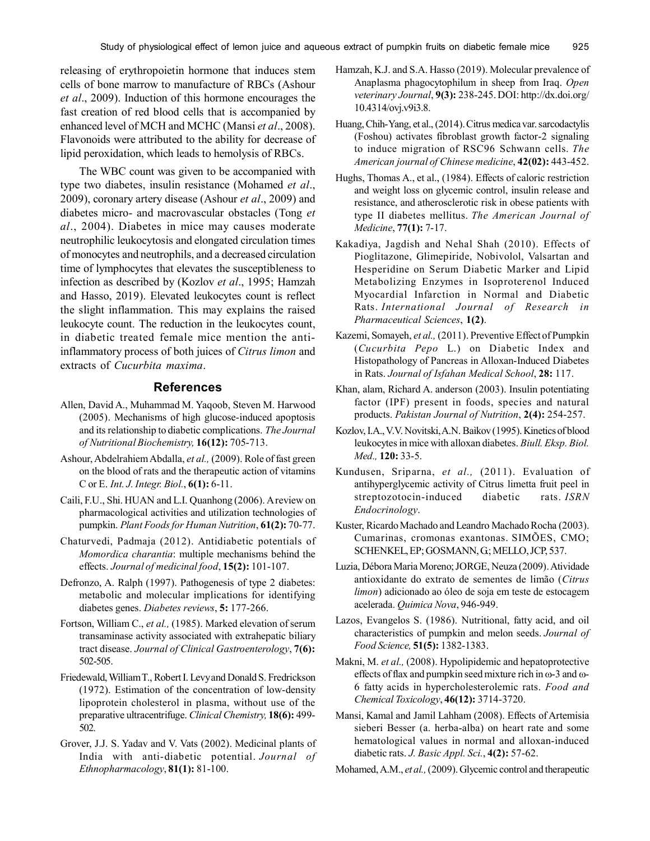releasing of erythropoietin hormone that induces stem cells of bone marrow to manufacture of RBCs (Ashour *et al*., 2009). Induction of this hormone encourages the fast creation of red blood cells that is accompanied by enhanced level of MCH and MCHC (Mansi *et al*., 2008). Flavonoids were attributed to the ability for decrease of lipid peroxidation, which leads to hemolysis of RBCs.

The WBC count was given to be accompanied with type two diabetes, insulin resistance (Mohamed *et al*., 2009), coronary artery disease (Ashour *et al*., 2009) and diabetes micro- and macrovascular obstacles (Tong *et al*., 2004). Diabetes in mice may causes moderate neutrophilic leukocytosis and elongated circulation times of monocytes and neutrophils, and a decreased circulation time of lymphocytes that elevates the susceptibleness to infection as described by (Kozlov *et al*., 1995; Hamzah and Hasso, 2019). Elevated leukocytes count is reflect the slight inflammation. This may explains the raised leukocyte count. The reduction in the leukocytes count, in diabetic treated female mice mention the antiinflammatory process of both juices of *Citrus limon* and extracts of *Cucurbita maxima*.

#### **References**

- Allen, David A., Muhammad M. Yaqoob, Steven M. Harwood (2005). Mechanisms of high glucose-induced apoptosis and its relationship to diabetic complications. *The Journal of Nutritional Biochemistry,* **16(12):** 705-713.
- Ashour, Abdelrahiem Abdalla, *et al.,* (2009). Role of fast green on the blood of rats and the therapeutic action of vitamins C or E. *Int. J. Integr. Biol.*, **6(1):** 6-11.
- Caili, F.U., Shi. HUAN and L.I. Quanhong (2006). A review on pharmacological activities and utilization technologies of pumpkin. *Plant Foods for Human Nutrition*, **61(2):** 70-77.
- Chaturvedi, Padmaja (2012). Antidiabetic potentials of *Momordica charantia*: multiple mechanisms behind the effects. *Journal of medicinal food*, **15(2):** 101-107.
- Defronzo, A. Ralph (1997). Pathogenesis of type 2 diabetes: metabolic and molecular implications for identifying diabetes genes. *Diabetes reviews*, **5:** 177-266.
- Fortson, William C., *et al.,* (1985). Marked elevation of serum transaminase activity associated with extrahepatic biliary tract disease. *Journal of Clinical Gastroenterology*, **7(6):** 502-505.
- Friedewald, William T., Robert I. Levy and Donald S. Fredrickson (1972). Estimation of the concentration of low-density lipoprotein cholesterol in plasma, without use of the preparative ultracentrifuge. *Clinical Chemistry,* **18(6):** 499- 502.
- Grover, J.J. S. Yadav and V. Vats (2002). Medicinal plants of India with anti-diabetic potential. *Journal of Ethnopharmacology*, **81(1):** 81-100.
- Hamzah, K.J. and S.A. Hasso (2019). Molecular prevalence of Anaplasma phagocytophilum in sheep from Iraq. *Open veterinary Journal*, **9(3):** 238-245. DOI: http://dx.doi.org/ 10.4314/ovj.v9i3.8.
- Huang, Chih-Yang, et al., (2014). Citrus medica var. sarcodactylis (Foshou) activates fibroblast growth factor-2 signaling to induce migration of RSC96 Schwann cells. *The American journal of Chinese medicine*, **42(02):** 443-452.
- Hughs, Thomas A., et al., (1984). Effects of caloric restriction and weight loss on glycemic control, insulin release and resistance, and atherosclerotic risk in obese patients with type II diabetes mellitus. *The American Journal of Medicine*, **77(1):** 7-17.
- Kakadiya, Jagdish and Nehal Shah (2010). Effects of Pioglitazone, Glimepiride, Nobivolol, Valsartan and Hesperidine on Serum Diabetic Marker and Lipid Metabolizing Enzymes in Isoproterenol Induced Myocardial Infarction in Normal and Diabetic Rats. *International Journal of Research in Pharmaceutical Sciences*, **1(2)**.
- Kazemi, Somayeh, *et al.,* (2011). Preventive Effect of Pumpkin (*Cucurbita Pepo* L.) on Diabetic Index and Histopathology of Pancreas in Alloxan-Induced Diabetes in Rats. *Journal of Isfahan Medical School*, **28:** 117.
- Khan, alam, Richard A. anderson (2003). Insulin potentiating factor (IPF) present in foods, species and natural products. *Pakistan Journal of Nutrition*, **2(4):** 254-257.
- Kozlov, I.A., V.V. Novitski, A.N. Baìkov (1995). Kinetics of blood leukocytes in mice with alloxan diabetes. *Biull. Eksp. Biol. Med.,* **120:** 33-5.
- Kundusen, Sriparna, *et al.,* (2011). Evaluation of antihyperglycemic activity of Citrus limetta fruit peel in streptozotocin-induced diabetic rats. *ISRN Endocrinology*.
- Kuster, Ricardo Machado and Leandro Machado Rocha (2003). Cumarinas, cromonas exantonas. SIMÕES, CMO; SCHENKEL, EP; GOSMANN, G; MELLO, JCP, 537.
- Luzia, Débora Maria Moreno; JORGE, Neuza (2009). Atividade antioxidante do extrato de sementes de limão (*Citrus limon*) adicionado ao óleo de soja em teste de estocagem acelerada. *Quimica Nova*, 946-949.
- Lazos, Evangelos S. (1986). Nutritional, fatty acid, and oil characteristics of pumpkin and melon seeds. *Journal of Food Science,* **51(5):** 1382-1383.
- Makni, M. *et al.,* (2008). Hypolipidemic and hepatoprotective effects of flax and pumpkin seed mixture rich in  $\omega$ -3 and  $\omega$ -6 fatty acids in hypercholesterolemic rats. *Food and Chemical Toxicology*, **46(12):** 3714-3720.
- Mansi, Kamal and Jamil Lahham (2008). Effects of Artemisia sieberi Besser (a. herba-alba) on heart rate and some hematological values in normal and alloxan-induced diabetic rats. *J. Basic Appl. Sci.*, **4(2):** 57-62.
- Mohamed, A.M., *et al.,* (2009). Glycemic control and therapeutic